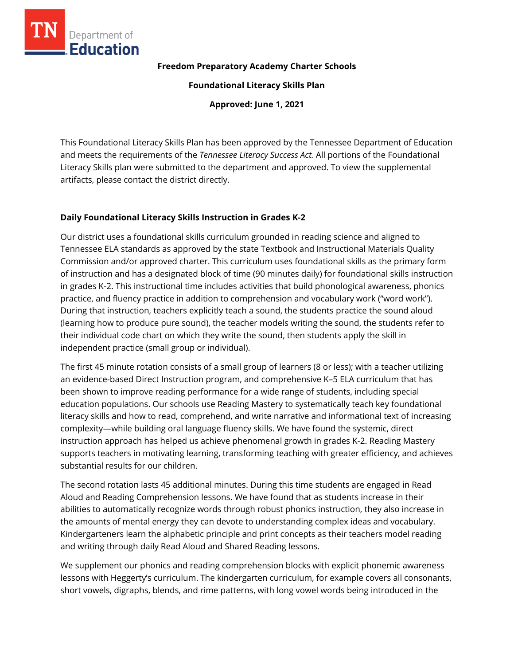

#### **Freedom Preparatory Academy Charter Schools**

**Foundational Literacy Skills Plan**

**Approved: June 1, 2021**

This Foundational Literacy Skills Plan has been approved by the Tennessee Department of Education and meets the requirements of the *Tennessee Literacy Success Act.* All portions of the Foundational Literacy Skills plan were submitted to the department and approved. To view the supplemental artifacts, please contact the district directly.

### **Daily Foundational Literacy Skills Instruction in Grades K-2**

Our district uses a foundational skills curriculum grounded in reading science and aligned to Tennessee ELA standards as approved by the state Textbook and Instructional Materials Quality Commission and/or approved charter. This curriculum uses foundational skills as the primary form of instruction and has a designated block of time (90 minutes daily) for foundational skills instruction in grades K-2. This instructional time includes activities that build phonological awareness, phonics practice, and fluency practice in addition to comprehension and vocabulary work ("word work"). During that instruction, teachers explicitly teach a sound, the students practice the sound aloud (learning how to produce pure sound), the teacher models writing the sound, the students refer to their individual code chart on which they write the sound, then students apply the skill in independent practice (small group or individual).

The first 45 minute rotation consists of a small group of learners (8 or less); with a teacher utilizing an evidence-based Direct Instruction program, and comprehensive K–5 ELA curriculum that has been shown to improve reading performance for a wide range of students, including special education populations. Our schools use Reading Mastery to systematically teach key foundational literacy skills and how to read, comprehend, and write narrative and informational text of increasing complexity—while building oral language fluency skills. We have found the systemic, direct instruction approach has helped us achieve phenomenal growth in grades K-2. Reading Mastery supports teachers in motivating learning, transforming teaching with greater efficiency, and achieves substantial results for our children.

The second rotation lasts 45 additional minutes. During this time students are engaged in Read Aloud and Reading Comprehension lessons. We have found that as students increase in their abilities to automatically recognize words through robust phonics instruction, they also increase in the amounts of mental energy they can devote to understanding complex ideas and vocabulary. Kindergarteners learn the alphabetic principle and print concepts as their teachers model reading and writing through daily Read Aloud and Shared Reading lessons.

We supplement our phonics and reading comprehension blocks with explicit phonemic awareness lessons with Heggerty's curriculum. The kindergarten curriculum, for example covers all consonants, short vowels, digraphs, blends, and rime patterns, with long vowel words being introduced in the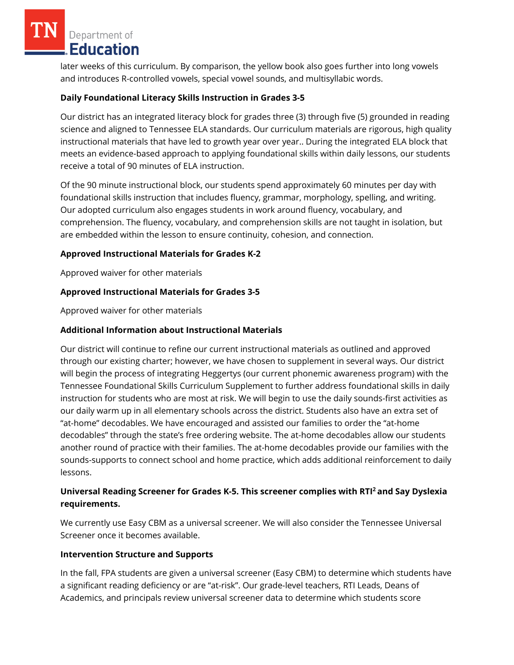Department of Education

later weeks of this curriculum. By comparison, the yellow book also goes further into long vowels and introduces R-controlled vowels, special vowel sounds, and multisyllabic words.

# **Daily Foundational Literacy Skills Instruction in Grades 3-5**

Our district has an integrated literacy block for grades three (3) through five (5) grounded in reading science and aligned to Tennessee ELA standards. Our curriculum materials are rigorous, high quality instructional materials that have led to growth year over year.. During the integrated ELA block that meets an evidence-based approach to applying foundational skills within daily lessons, our students receive a total of 90 minutes of ELA instruction.

Of the 90 minute instructional block, our students spend approximately 60 minutes per day with foundational skills instruction that includes fluency, grammar, morphology, spelling, and writing. Our adopted curriculum also engages students in work around fluency, vocabulary, and comprehension. The fluency, vocabulary, and comprehension skills are not taught in isolation, but are embedded within the lesson to ensure continuity, cohesion, and connection.

## **Approved Instructional Materials for Grades K-2**

Approved waiver for other materials

## **Approved Instructional Materials for Grades 3-5**

Approved waiver for other materials

### **Additional Information about Instructional Materials**

Our district will continue to refine our current instructional materials as outlined and approved through our existing charter; however, we have chosen to supplement in several ways. Our district will begin the process of integrating Heggertys (our current phonemic awareness program) with the Tennessee Foundational Skills Curriculum Supplement to further address foundational skills in daily instruction for students who are most at risk. We will begin to use the daily sounds-first activities as our daily warm up in all elementary schools across the district. Students also have an extra set of "at-home" decodables. We have encouraged and assisted our families to order the "at-home decodables" through the state's free ordering website. The at-home decodables allow our students another round of practice with their families. The at-home decodables provide our families with the sounds-supports to connect school and home practice, which adds additional reinforcement to daily lessons.

## **Universal Reading Screener for Grades K-5. This screener complies with RTI<sup>2</sup>and Say Dyslexia requirements.**

We currently use Easy CBM as a universal screener. We will also consider the Tennessee Universal Screener once it becomes available.

### **Intervention Structure and Supports**

In the fall, FPA students are given a universal screener (Easy CBM) to determine which students have a significant reading deficiency or are "at-risk". Our grade-level teachers, RTI Leads, Deans of Academics, and principals review universal screener data to determine which students score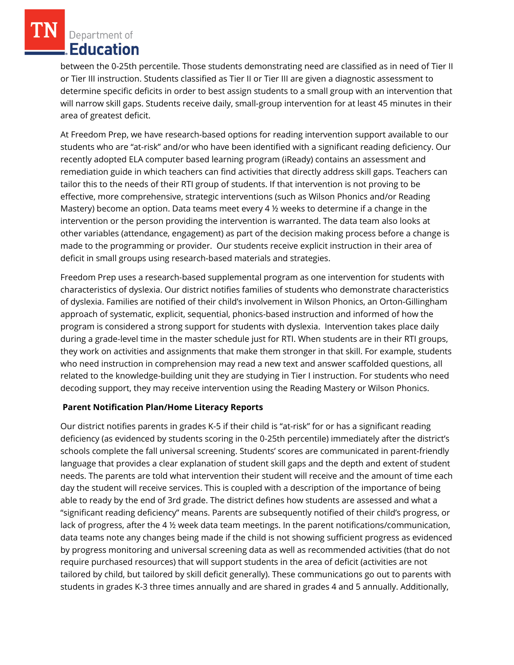Department of Education

between the 0-25th percentile. Those students demonstrating need are classified as in need of Tier II or Tier III instruction. Students classified as Tier II or Tier III are given a diagnostic assessment to determine specific deficits in order to best assign students to a small group with an intervention that will narrow skill gaps. Students receive daily, small-group intervention for at least 45 minutes in their area of greatest deficit.

At Freedom Prep, we have research-based options for reading intervention support available to our students who are "at-risk" and/or who have been identified with a significant reading deficiency. Our recently adopted ELA computer based learning program (iReady) contains an assessment and remediation guide in which teachers can find activities that directly address skill gaps. Teachers can tailor this to the needs of their RTI group of students. If that intervention is not proving to be effective, more comprehensive, strategic interventions (such as Wilson Phonics and/or Reading Mastery) become an option. Data teams meet every 4  $\frac{1}{2}$  weeks to determine if a change in the intervention or the person providing the intervention is warranted. The data team also looks at other variables (attendance, engagement) as part of the decision making process before a change is made to the programming or provider. Our students receive explicit instruction in their area of deficit in small groups using research-based materials and strategies.

Freedom Prep uses a research-based supplemental program as one intervention for students with characteristics of dyslexia. Our district notifies families of students who demonstrate characteristics of dyslexia. Families are notified of their child's involvement in Wilson Phonics, an Orton-Gillingham approach of systematic, explicit, sequential, phonics-based instruction and informed of how the program is considered a strong support for students with dyslexia. Intervention takes place daily during a grade-level time in the master schedule just for RTI. When students are in their RTI groups, they work on activities and assignments that make them stronger in that skill. For example, students who need instruction in comprehension may read a new text and answer scaffolded questions, all related to the knowledge-building unit they are studying in Tier I instruction. For students who need decoding support, they may receive intervention using the Reading Mastery or Wilson Phonics.

### **Parent Notification Plan/Home Literacy Reports**

Our district notifies parents in grades K-5 if their child is "at-risk" for or has a significant reading deficiency (as evidenced by students scoring in the 0-25th percentile) immediately after the district's schools complete the fall universal screening. Students' scores are communicated in parent-friendly language that provides a clear explanation of student skill gaps and the depth and extent of student needs. The parents are told what intervention their student will receive and the amount of time each day the student will receive services. This is coupled with a description of the importance of being able to ready by the end of 3rd grade. The district defines how students are assessed and what a "significant reading deficiency" means. Parents are subsequently notified of their child's progress, or lack of progress, after the 4 ½ week data team meetings. In the parent notifications/communication, data teams note any changes being made if the child is not showing sufficient progress as evidenced by progress monitoring and universal screening data as well as recommended activities (that do not require purchased resources) that will support students in the area of deficit (activities are not tailored by child, but tailored by skill deficit generally). These communications go out to parents with students in grades K-3 three times annually and are shared in grades 4 and 5 annually. Additionally,